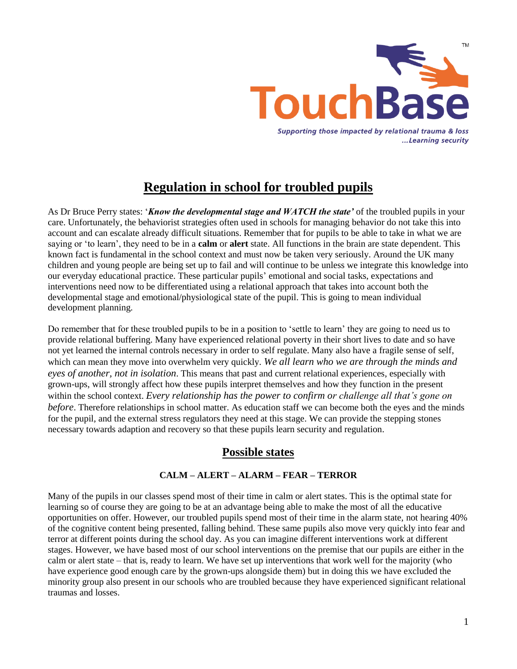

# **Regulation in school for troubled pupils**

As Dr Bruce Perry states: '*Know the developmental stage and WATCH the state'* of the troubled pupils in your care. Unfortunately, the behaviorist strategies often used in schools for managing behavior do not take this into account and can escalate already difficult situations. Remember that for pupils to be able to take in what we are saying or 'to learn', they need to be in a **calm** or **alert** state. All functions in the brain are state dependent. This known fact is fundamental in the school context and must now be taken very seriously. Around the UK many children and young people are being set up to fail and will continue to be unless we integrate this knowledge into our everyday educational practice. These particular pupils' emotional and social tasks, expectations and interventions need now to be differentiated using a relational approach that takes into account both the developmental stage and emotional/physiological state of the pupil. This is going to mean individual development planning.

Do remember that for these troubled pupils to be in a position to 'settle to learn' they are going to need us to provide relational buffering. Many have experienced relational poverty in their short lives to date and so have not yet learned the internal controls necessary in order to self regulate. Many also have a fragile sense of self, which can mean they move into overwhelm very quickly. *We all learn who we are through the minds and eyes of another, not in isolation*. This means that past and current relational experiences, especially with grown-ups, will strongly affect how these pupils interpret themselves and how they function in the present within the school context. *Every relationship has the power to confirm or challenge all that's gone on before*. Therefore relationships in school matter. As education staff we can become both the eyes and the minds for the pupil, and the external stress regulators they need at this stage. We can provide the stepping stones necessary towards adaption and recovery so that these pupils learn security and regulation.

# **Possible states**

# **CALM – ALERT – ALARM – FEAR – TERROR**

Many of the pupils in our classes spend most of their time in calm or alert states. This is the optimal state for learning so of course they are going to be at an advantage being able to make the most of all the educative opportunities on offer. However, our troubled pupils spend most of their time in the alarm state, not hearing 40% of the cognitive content being presented, falling behind. These same pupils also move very quickly into fear and terror at different points during the school day. As you can imagine different interventions work at different stages. However, we have based most of our school interventions on the premise that our pupils are either in the calm or alert state – that is, ready to learn. We have set up interventions that work well for the majority (who have experience good enough care by the grown-ups alongside them) but in doing this we have excluded the minority group also present in our schools who are troubled because they have experienced significant relational traumas and losses.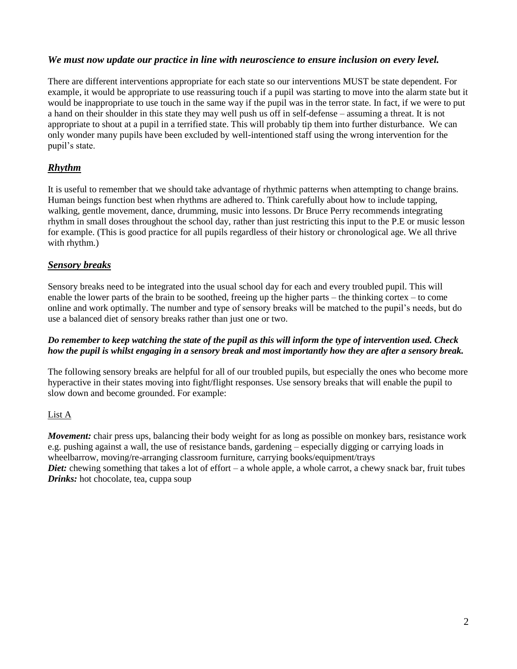#### *We must now update our practice in line with neuroscience to ensure inclusion on every level.*

There are different interventions appropriate for each state so our interventions MUST be state dependent. For example, it would be appropriate to use reassuring touch if a pupil was starting to move into the alarm state but it would be inappropriate to use touch in the same way if the pupil was in the terror state. In fact, if we were to put a hand on their shoulder in this state they may well push us off in self-defense – assuming a threat. It is not appropriate to shout at a pupil in a terrified state. This will probably tip them into further disturbance. We can only wonder many pupils have been excluded by well-intentioned staff using the wrong intervention for the pupil's state.

## *Rhythm*

It is useful to remember that we should take advantage of rhythmic patterns when attempting to change brains. Human beings function best when rhythms are adhered to. Think carefully about how to include tapping, walking, gentle movement, dance, drumming, music into lessons. Dr Bruce Perry recommends integrating rhythm in small doses throughout the school day, rather than just restricting this input to the P.E or music lesson for example. (This is good practice for all pupils regardless of their history or chronological age. We all thrive with rhythm.)

## *Sensory breaks*

Sensory breaks need to be integrated into the usual school day for each and every troubled pupil. This will enable the lower parts of the brain to be soothed, freeing up the higher parts – the thinking cortex – to come online and work optimally. The number and type of sensory breaks will be matched to the pupil's needs, but do use a balanced diet of sensory breaks rather than just one or two.

#### *Do remember to keep watching the state of the pupil as this will inform the type of intervention used. Check how the pupil is whilst engaging in a sensory break and most importantly how they are after a sensory break.*

The following sensory breaks are helpful for all of our troubled pupils, but especially the ones who become more hyperactive in their states moving into fight/flight responses. Use sensory breaks that will enable the pupil to slow down and become grounded. For example:

#### List A

*Movement:* chair press ups, balancing their body weight for as long as possible on monkey bars, resistance work e.g. pushing against a wall, the use of resistance bands, gardening – especially digging or carrying loads in wheelbarrow, moving/re-arranging classroom furniture, carrying books/equipment/trays *Diet:* chewing something that takes a lot of effort – a whole apple, a whole carrot, a chewy snack bar, fruit tubes

*Drinks:* hot chocolate, tea, cuppa soup